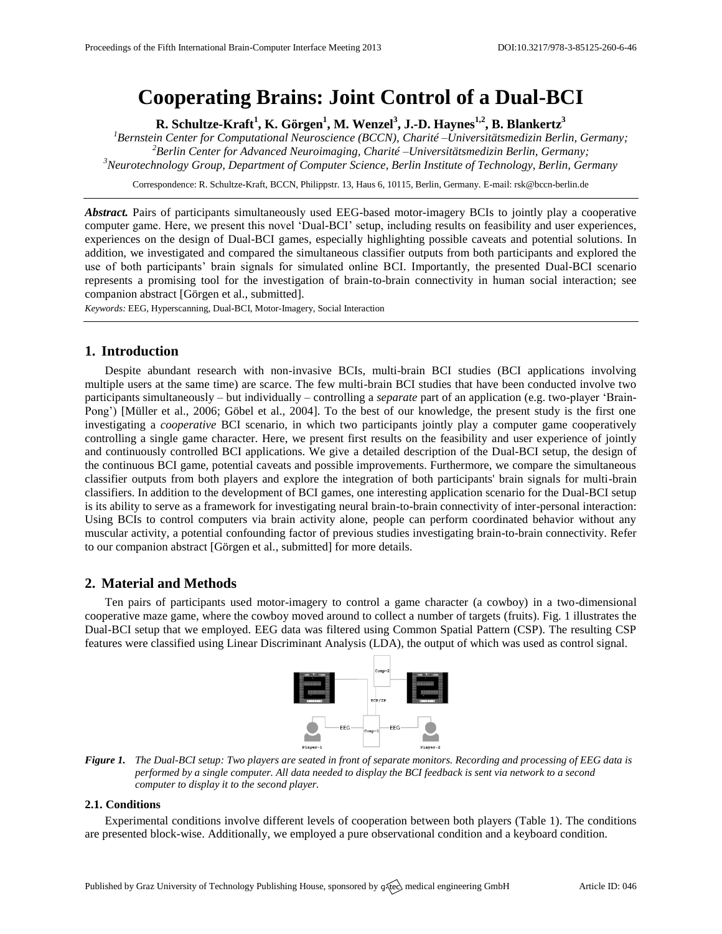# **Cooperating Brains: Joint Control of a Dual-BCI**

**R. Schultze-Kraft<sup>1</sup> , K. Görgen<sup>1</sup> , M. Wenzel<sup>3</sup> , J.-D. Haynes1,2, B. Blankertz<sup>3</sup>**

*<sup>1</sup>Bernstein Center for Computational Neuroscience (BCCN), Charité –Universitätsmedizin Berlin, Germany; <sup>2</sup>Berlin Center for Advanced Neuroimaging, Charité –Universitätsmedizin Berlin, Germany; <sup>3</sup>Neurotechnology Group, Department of Computer Science, Berlin Institute of Technology, Berlin, Germany*

Correspondence: R. Schultze-Kraft, BCCN, Philippstr. 13, Haus 6, 10115, Berlin, Germany. E-mail: [rsk@bccn-berlin.de](mailto:rsk@bccn-berlin.de)

*Abstract.* Pairs of participants simultaneously used EEG-based motor-imagery BCIs to jointly play a cooperative computer game. Here, we present this novel 'Dual-BCI' setup, including results on feasibility and user experiences, experiences on the design of Dual-BCI games, especially highlighting possible caveats and potential solutions. In addition, we investigated and compared the simultaneous classifier outputs from both participants and explored the use of both participants' brain signals for simulated online BCI. Importantly, the presented Dual-BCI scenario represents a promising tool for the investigation of brain-to-brain connectivity in human social interaction; see companion abstract [Görgen et al., submitted].

*Keywords:* EEG, Hyperscanning, Dual-BCI, Motor-Imagery, Social Interaction

## **1. Introduction**

Despite abundant research with non-invasive BCIs, multi-brain BCI studies (BCI applications involving multiple users at the same time) are scarce. The few multi-brain BCI studies that have been conducted involve two participants simultaneously – but individually – controlling a *separate* part of an application (e.g. two-player 'Brain-Pong') [Müller et al., 2006; Göbel et al., 2004]. To the best of our knowledge, the present study is the first one investigating a *cooperative* BCI scenario, in which two participants jointly play a computer game cooperatively controlling a single game character. Here, we present first results on the feasibility and user experience of jointly and continuously controlled BCI applications. We give a detailed description of the Dual-BCI setup, the design of the continuous BCI game, potential caveats and possible improvements. Furthermore, we compare the simultaneous classifier outputs from both players and explore the integration of both participants' brain signals for multi-brain classifiers. In addition to the development of BCI games, one interesting application scenario for the Dual-BCI setup is its ability to serve as a framework for investigating neural brain-to-brain connectivity of inter-personal interaction: Using BCIs to control computers via brain activity alone, people can perform coordinated behavior without any muscular activity, a potential confounding factor of previous studies investigating brain-to-brain connectivity. Refer to our companion abstract [Görgen et al., submitted] for more details.

## **2. Material and Methods**

Ten pairs of participants used motor-imagery to control a game character (a cowboy) in a two-dimensional cooperative maze game, where the cowboy moved around to collect a number of targets (fruits). Fig. 1 illustrates the Dual-BCI setup that we employed. EEG data was filtered using Common Spatial Pattern (CSP). The resulting CSP features were classified using Linear Discriminant Analysis (LDA), the output of which was used as control signal.



*Figure 1. The Dual-BCI setup: Two players are seated in front of separate monitors. Recording and processing of EEG data is performed by a single computer. All data needed to display the BCI feedback is sent via network to a second computer to display it to the second player.*

#### **2.1. Conditions**

Experimental conditions involve different levels of cooperation between both players (Table 1). The conditions are presented block-wise. Additionally, we employed a pure observational condition and a keyboard condition.